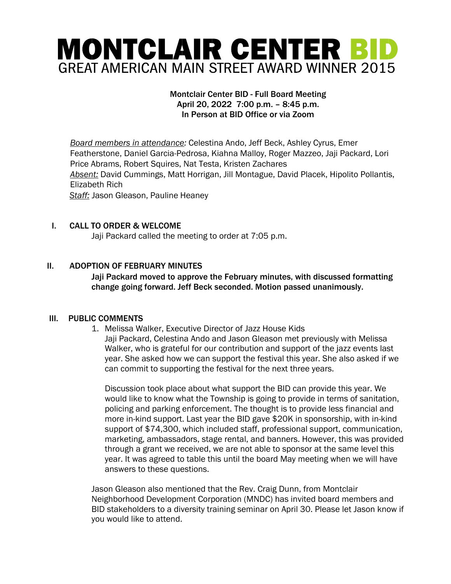# MONTCLAIR CENTER BID **GREAT AMERICAN MAIN STREET AWARD WINNER 2015**

### Montclair Center BID - Full Board Meeting April 20, 2022 7:00 p.m. – 8:45 p.m. In Person at BID Office or via Zoom

*Board members in attendance:* Celestina Ando, Jeff Beck, Ashley Cyrus, Emer Featherstone, Daniel Garcia-Pedrosa, Kiahna Malloy, Roger Mazzeo, Jaji Packard, Lori Price Abrams, Robert Squires, Nat Testa, Kristen Zachares *Absent:* David Cummings, Matt Horrigan, Jill Montague, David Placek, Hipolito Pollantis, Elizabeth Rich *Staff:* Jason Gleason, Pauline Heaney

## I. CALL TO ORDER & WELCOME

Jaji Packard called the meeting to order at 7:05 p.m.

## II. ADOPTION OF FEBRUARY MINUTES

Jaji Packard moved to approve the February minutes, with discussed formatting change going forward. Jeff Beck seconded. Motion passed unanimously.

## III. PUBLIC COMMENTS

1. Melissa Walker, Executive Director of Jazz House Kids Jaji Packard, Celestina Ando and Jason Gleason met previously with Melissa Walker, who is grateful for our contribution and support of the jazz events last year. She asked how we can support the festival this year. She also asked if we can commit to supporting the festival for the next three years.

Discussion took place about what support the BID can provide this year. We would like to know what the Township is going to provide in terms of sanitation, policing and parking enforcement. The thought is to provide less financial and more in-kind support. Last year the BID gave \$20K in sponsorship, with in-kind support of \$74,300, which included staff, professional support, communication, marketing, ambassadors, stage rental, and banners. However, this was provided through a grant we received, we are not able to sponsor at the same level this year. It was agreed to table this until the board May meeting when we will have answers to these questions.

Jason Gleason also mentioned that the Rev. Craig Dunn, from Montclair Neighborhood Development Corporation (MNDC) has invited board members and BID stakeholders to a diversity training seminar on April 30. Please let Jason know if you would like to attend.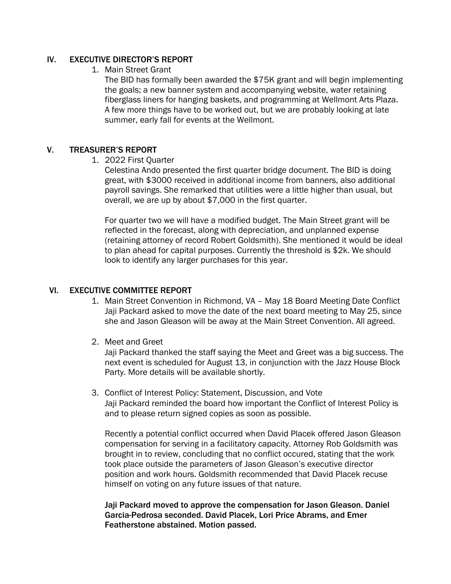#### IV. EXECUTIVE DIRECTOR'S REPORT

1. Main Street Grant

The BID has formally been awarded the \$75K grant and will begin implementing the goals; a new banner system and accompanying website, water retaining fiberglass liners for hanging baskets, and programming at Wellmont Arts Plaza. A few more things have to be worked out, but we are probably looking at late summer, early fall for events at the Wellmont.

### V. TREASURER'S REPORT

1. 2022 First Quarter

Celestina Ando presented the first quarter bridge document. The BID is doing great, with \$3000 received in additional income from banners, also additional payroll savings. She remarked that utilities were a little higher than usual, but overall, we are up by about \$7,000 in the first quarter.

For quarter two we will have a modified budget. The Main Street grant will be reflected in the forecast, along with depreciation, and unplanned expense (retaining attorney of record Robert Goldsmith). She mentioned it would be ideal to plan ahead for capital purposes. Currently the threshold is \$2k. We should look to identify any larger purchases for this year.

#### VI. EXECUTIVE COMMITTEE REPORT

- 1. Main Street Convention in Richmond, VA May 18 Board Meeting Date Conflict Jaji Packard asked to move the date of the next board meeting to May 25, since she and Jason Gleason will be away at the Main Street Convention. All agreed.
- 2. Meet and Greet

Jaji Packard thanked the staff saying the Meet and Greet was a big success. The next event is scheduled for August 13, in conjunction with the Jazz House Block Party. More details will be available shortly.

3. Conflict of Interest Policy: Statement, Discussion, and Vote Jaji Packard reminded the board how important the Conflict of Interest Policy is and to please return signed copies as soon as possible.

Recently a potential conflict occurred when David Placek offered Jason Gleason compensation for serving in a facilitatory capacity. Attorney Rob Goldsmith was brought in to review, concluding that no conflict occured, stating that the work took place outside the parameters of Jason Gleason's executive director position and work hours. Goldsmith recommended that David Placek recuse himself on voting on any future issues of that nature.

Jaji Packard moved to approve the compensation for Jason Gleason. Daniel Garcia-Pedrosa seconded. David Placek, Lori Price Abrams, and Emer Featherstone abstained. Motion passed.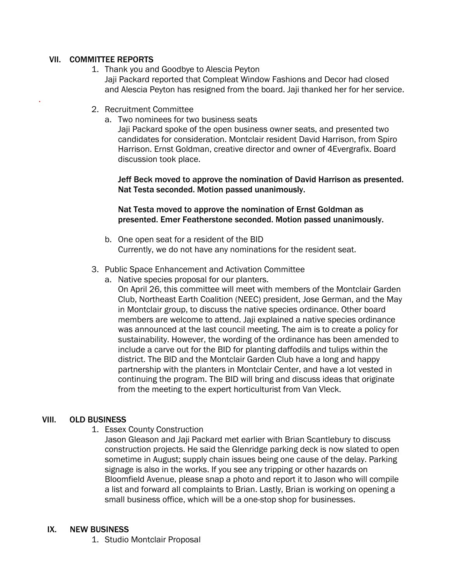## VII. COMMITTEE REPORTS

.

- 1. Thank you and Goodbye to Alescia Peyton Jaji Packard reported that Compleat Window Fashions and Decor had closed and Alescia Peyton has resigned from the board. Jaji thanked her for her service.
- 2. Recruitment Committee
	- a. Two nominees for two business seats

Jaji Packard spoke of the open business owner seats, and presented two candidates for consideration. Montclair resident David Harrison, from Spiro Harrison. Ernst Goldman, creative director and owner of 4Evergrafix. Board discussion took place.

Jeff Beck moved to approve the nomination of David Harrison as presented. Nat Testa seconded. Motion passed unanimously.

#### Nat Testa moved to approve the nomination of Ernst Goldman as presented. Emer Featherstone seconded. Motion passed unanimously.

b. One open seat for a resident of the BID Currently, we do not have any nominations for the resident seat.

#### 3. Public Space Enhancement and Activation Committee

- a. Native species proposal for our planters.
	- On April 26, this committee will meet with members of the Montclair Garden Club, Northeast Earth Coalition (NEEC) president, Jose German, and the May in Montclair group, to discuss the native species ordinance. Other board members are welcome to attend. Jaji explained a native species ordinance was announced at the last council meeting. The aim is to create a policy for sustainability. However, the wording of the ordinance has been amended to include a carve out for the BID for planting daffodils and tulips within the district. The BID and the Montclair Garden Club have a long and happy partnership with the planters in Montclair Center, and have a lot vested in continuing the program. The BID will bring and discuss ideas that originate from the meeting to the expert horticulturist from Van Vleck.

## VIII. OLD BUSINESS

1. Essex County Construction

Jason Gleason and Jaji Packard met earlier with Brian Scantlebury to discuss construction projects. He said the Glenridge parking deck is now slated to open sometime in August; supply chain issues being one cause of the delay. Parking signage is also in the works. If you see any tripping or other hazards on Bloomfield Avenue, please snap a photo and report it to Jason who will compile a list and forward all complaints to Brian. Lastly, Brian is working on opening a small business office, which will be a one-stop shop for businesses.

#### IX. NEW BUSINESS

1. Studio Montclair Proposal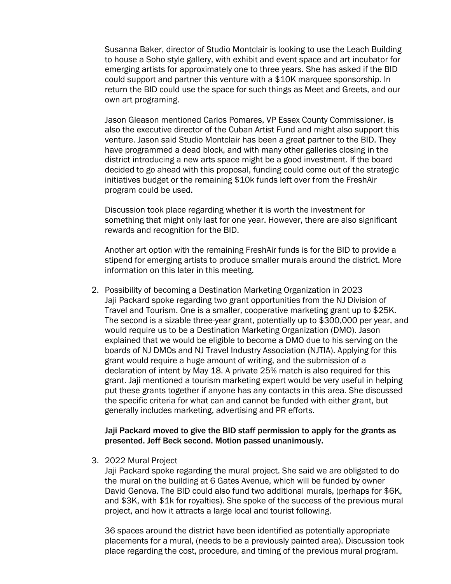Susanna Baker, director of Studio Montclair is looking to use the Leach Building to house a Soho style gallery, with exhibit and event space and art incubator for emerging artists for approximately one to three years. She has asked if the BID could support and partner this venture with a \$10K marquee sponsorship. In return the BID could use the space for such things as Meet and Greets, and our own art programing.

Jason Gleason mentioned Carlos Pomares, VP Essex County Commissioner, is also the executive director of the Cuban Artist Fund and might also support this venture. Jason said Studio Montclair has been a great partner to the BID. They have programmed a dead block, and with many other galleries closing in the district introducing a new arts space might be a good investment. If the board decided to go ahead with this proposal, funding could come out of the strategic initiatives budget or the remaining \$10k funds left over from the FreshAir program could be used.

Discussion took place regarding whether it is worth the investment for something that might only last for one year. However, there are also significant rewards and recognition for the BID.

Another art option with the remaining FreshAir funds is for the BID to provide a stipend for emerging artists to produce smaller murals around the district. More information on this later in this meeting.

2. Possibility of becoming a Destination Marketing Organization in 2023 Jaji Packard spoke regarding two grant opportunities from the NJ Division of Travel and Tourism. One is a smaller, cooperative marketing grant up to \$25K. The second is a sizable three-year grant, potentially up to \$300,000 per year, and would require us to be a Destination Marketing Organization (DMO). Jason explained that we would be eligible to become a DMO due to his serving on the boards of NJ DMOs and NJ Travel Industry Association (NJTIA). Applying for this grant would require a huge amount of writing, and the submission of a declaration of intent by May 18. A private 25% match is also required for this grant. Jaji mentioned a tourism marketing expert would be very useful in helping put these grants together if anyone has any contacts in this area. She discussed the specific criteria for what can and cannot be funded with either grant, but generally includes marketing, advertising and PR efforts.

#### Jaji Packard moved to give the BID staff permission to apply for the grants as presented. Jeff Beck second. Motion passed unanimously.

3. 2022 Mural Project

Jaji Packard spoke regarding the mural project. She said we are obligated to do the mural on the building at 6 Gates Avenue, which will be funded by owner David Genova. The BID could also fund two additional murals, (perhaps for \$6K, and \$3K, with \$1k for royalties). She spoke of the success of the previous mural project, and how it attracts a large local and tourist following.

36 spaces around the district have been identified as potentially appropriate placements for a mural, (needs to be a previously painted area). Discussion took place regarding the cost, procedure, and timing of the previous mural program.